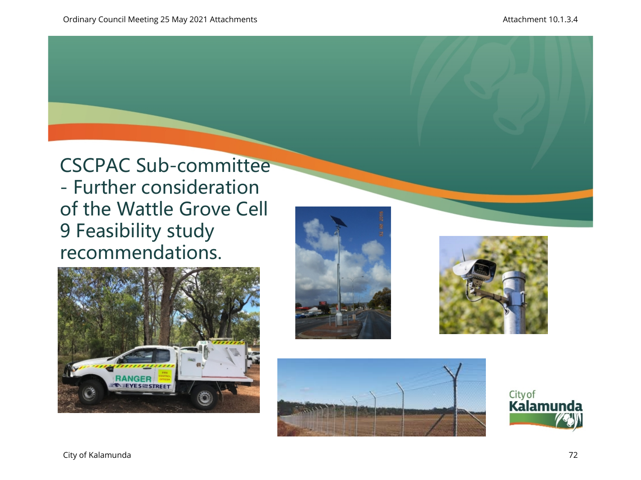CSCPAC Sub-committee - Further consideration of the Wattle Grove Cell 9 Feasibility study recommendations.









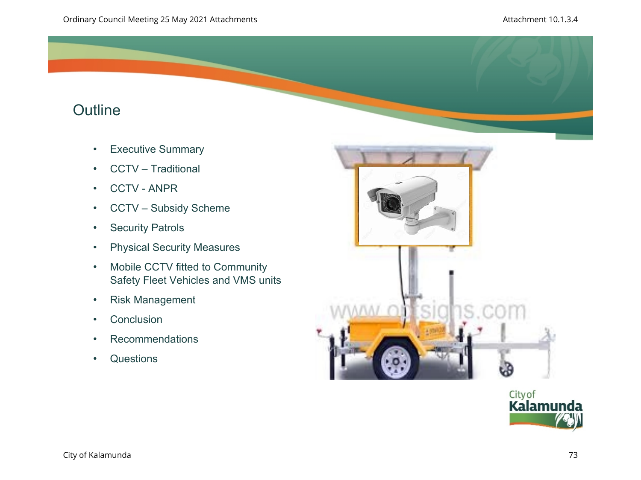# **Outline**

- Executive Summary
- CCTV Traditional
- CCTV ANPR
- CCTV Subsidy Scheme
- Security Patrols
- Physical Security Measures
- Mobile CCTV fitted to Community Safety Fleet Vehicles and VMS units
- Risk Management
- Conclusion
- Recommendations
- Questions



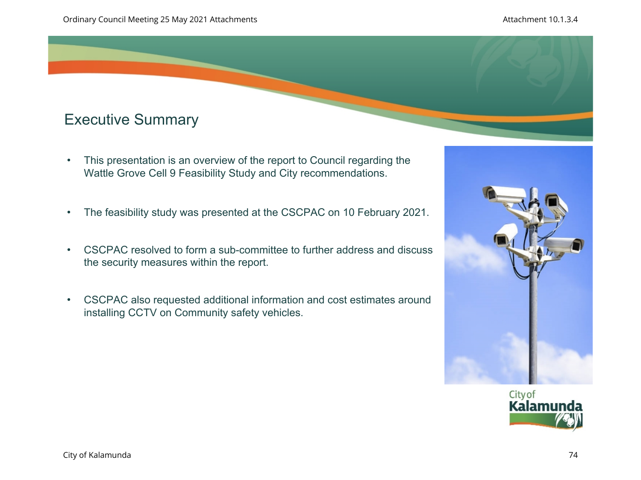# Executive Summary

- This presentation is an overview of the report to Council regarding the Wattle Grove Cell 9 Feasibility Study and City recommendations.
- The feasibility study was presented at the CSCPAC on 10 February 2021.
- CSCPAC resolved to form a sub-committee to further address and discuss the security measures within the report.
- CSCPAC also requested additional information and cost estimates around installing CCTV on Community safety vehicles.



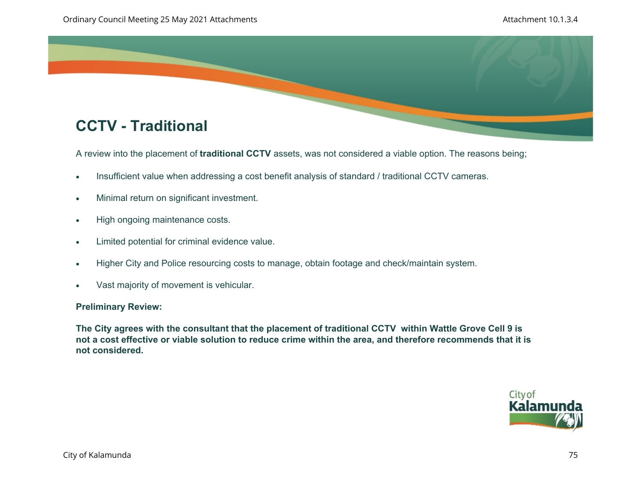

A review into the placement of **traditional CCTV** assets, was not considered a viable option. The reasons being;

- Insufficient value when addressing a cost benefit analysis of standard / traditional CCTV cameras.
- Minimal return on significant investment.
- High ongoing maintenance costs.
- Limited potential for criminal evidence value.
- Higher City and Police resourcing costs to manage, obtain footage and check/maintain system.
- Vast majority of movement is vehicular.

## **Preliminary Review:**

**The City agrees with the consultant that the placement of traditional CCTV within Wattle Grove Cell 9 is not a cost effective or viable solution to reduce crime within the area, and therefore recommends that it is not considered.** 

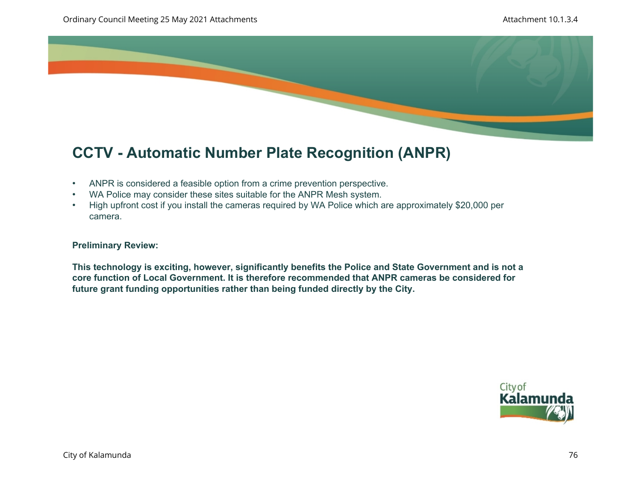

# **CCTV - Automatic Number Plate Recognition (ANPR)**

- ANPR is considered a feasible option from a crime prevention perspective.
- WA Police may consider these sites suitable for the ANPR Mesh system.
- High upfront cost if you install the cameras required by WA Police which are approximately \$20,000 per camera.

## **Preliminary Review:**

**This technology is exciting, however, significantly benefits the Police and State Government and is not a core function of Local Government. It is therefore recommended that ANPR cameras be considered for future grant funding opportunities rather than being funded directly by the City.** 

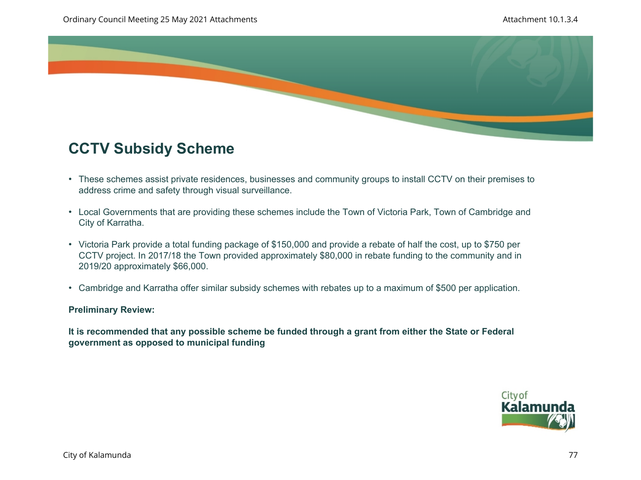

## **CCTV Subsidy Scheme**

- These schemes assist private residences, businesses and community groups to install CCTV on their premises to address crime and safety through visual surveillance.
- Local Governments that are providing these schemes include the Town of Victoria Park, Town of Cambridge and City of Karratha.
- Victoria Park provide a total funding package of \$150,000 and provide a rebate of half the cost, up to \$750 per CCTV project. In 2017/18 the Town provided approximately \$80,000 in rebate funding to the community and in 2019/20 approximately \$66,000.
- Cambridge and Karratha offer similar subsidy schemes with rebates up to a maximum of \$500 per application.

## **Preliminary Review:**

**It is recommended that any possible scheme be funded through a grant from either the State or Federal government as opposed to municipal funding**

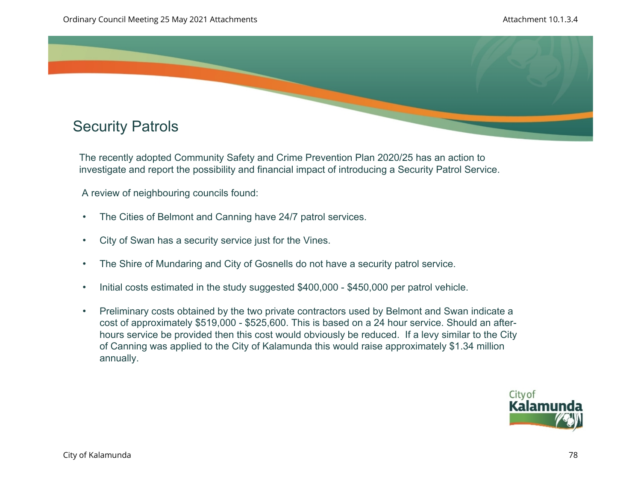

The recently adopted Community Safety and Crime Prevention Plan 2020/25 has an action to investigate and report the possibility and financial impact of introducing a Security Patrol Service.

A review of neighbouring councils found:

- The Cities of Belmont and Canning have 24/7 patrol services.
- City of Swan has a security service just for the Vines.
- The Shire of Mundaring and City of Gosnells do not have a security patrol service.
- Initial costs estimated in the study suggested \$400,000 \$450,000 per patrol vehicle.
- Preliminary costs obtained by the two private contractors used by Belmont and Swan indicate a cost of approximately \$519,000 - \$525,600. This is based on a 24 hour service. Should an afterhours service be provided then this cost would obviously be reduced. If a levy similar to the City of Canning was applied to the City of Kalamunda this would raise approximately \$1.34 million annually.

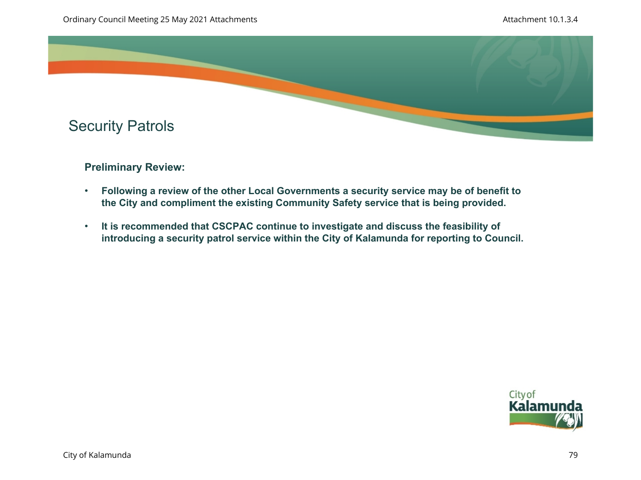

## **Preliminary Review:**

- **Following a review of the other Local Governments a security service may be of benefit to the City and compliment the existing Community Safety service that is being provided.**
- **It is recommended that CSCPAC continue to investigate and discuss the feasibility of introducing a security patrol service within the City of Kalamunda for reporting to Council.**

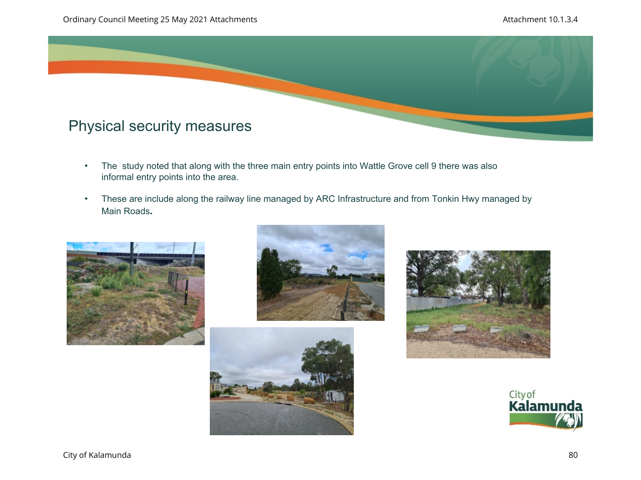

- The study noted that along with the three main entry points into Wattle Grove cell 9 there was also informal entry points into the area.
- These are include along the railway line managed by ARC Infrastructure and from Tonkin Hwy managed by Main Roads**.**









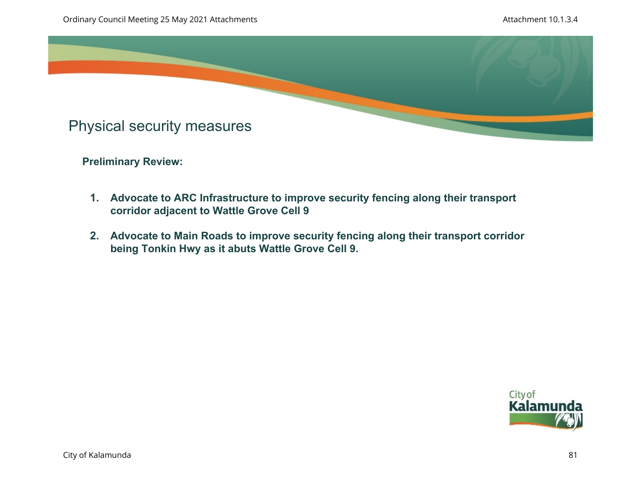

**Preliminary Review:** 

- **1. Advocate to ARC Infrastructure to improve security fencing along their transport corridor adjacent to Wattle Grove Cell 9**
- **2. Advocate to Main Roads to improve security fencing along their transport corridor being Tonkin Hwy as it abuts Wattle Grove Cell 9.**

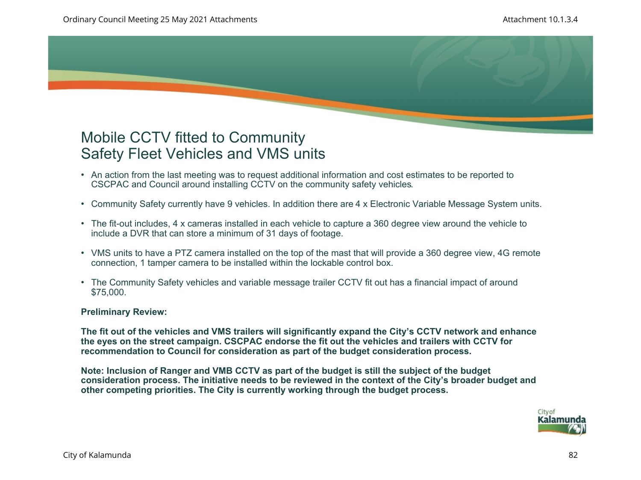## Mobile CCTV fitted to Community Safety Fleet Vehicles and VMS units

- An action from the last meeting was to request additional information and cost estimates to be reported to CSCPAC and Council around installing CCTV on the community safety vehicles.
- Community Safety currently have 9 vehicles. In addition there are 4 x Electronic Variable Message System units.
- The fit-out includes, 4 x cameras installed in each vehicle to capture a 360 degree view around the vehicle to include a DVR that can store a minimum of 31 days of footage.
- VMS units to have a PTZ camera installed on the top of the mast that will provide a 360 degree view, 4G remote connection, 1 tamper camera to be installed within the lockable control box.
- The Community Safety vehicles and variable message trailer CCTV fit out has a financial impact of around \$75,000.

## **Preliminary Review:**

**The fit out of the vehicles and VMS trailers will significantly expand the City's CCTV network and enhance the eyes on the street campaign. CSCPAC endorse the fit out the vehicles and trailers with CCTV for recommendation to Council for consideration as part of the budget consideration process.** 

**Note: Inclusion of Ranger and VMB CCTV as part of the budget is still the subject of the budget consideration process. The initiative needs to be reviewed in the context of the City's broader budget and other competing priorities. The City is currently working through the budget process.** 

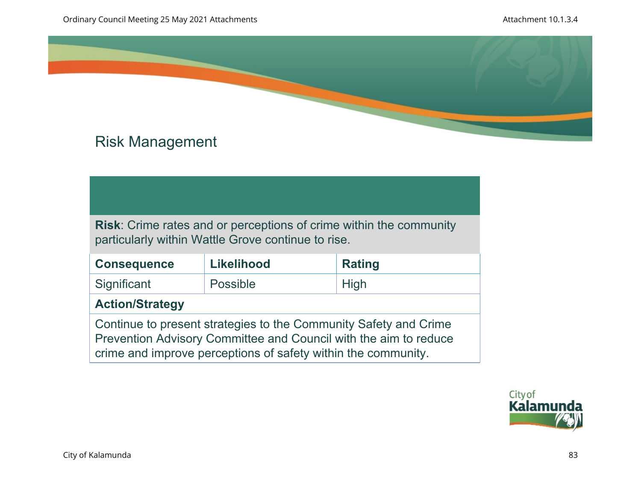

# Risk Management

**Risk**: Crime rates and or perceptions of crime within the community particularly within Wattle Grove continue to rise.

| <b>Consequence</b>                                                                                                                   | <b>Likelihood</b> | <b>Rating</b> |
|--------------------------------------------------------------------------------------------------------------------------------------|-------------------|---------------|
| Significant                                                                                                                          | Possible          | <b>High</b>   |
| <b>Action/Strategy</b>                                                                                                               |                   |               |
| Continue to present strategies to the Community Safety and Crime<br>Prevention Advisory Committee and Council with the aim to reduce |                   |               |

crime and improve perceptions of safety within the community.

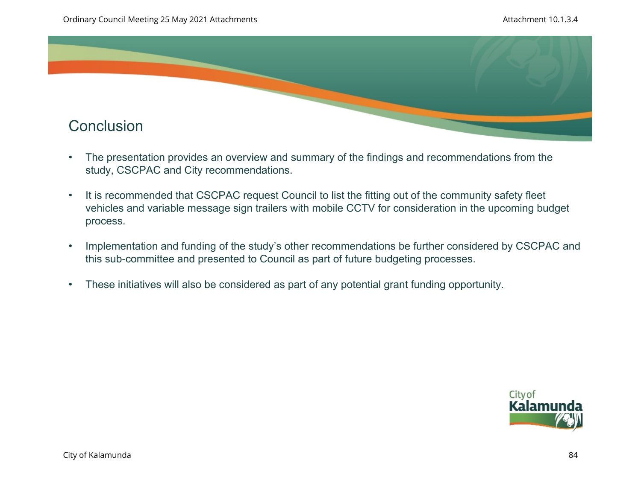

- The presentation provides an overview and summary of the findings and recommendations from the study, CSCPAC and City recommendations.
- It is recommended that CSCPAC request Council to list the fitting out of the community safety fleet vehicles and variable message sign trailers with mobile CCTV for consideration in the upcoming budget process.
- Implementation and funding of the study's other recommendations be further considered by CSCPAC and this sub-committee and presented to Council as part of future budgeting processes.
- These initiatives will also be considered as part of any potential grant funding opportunity.

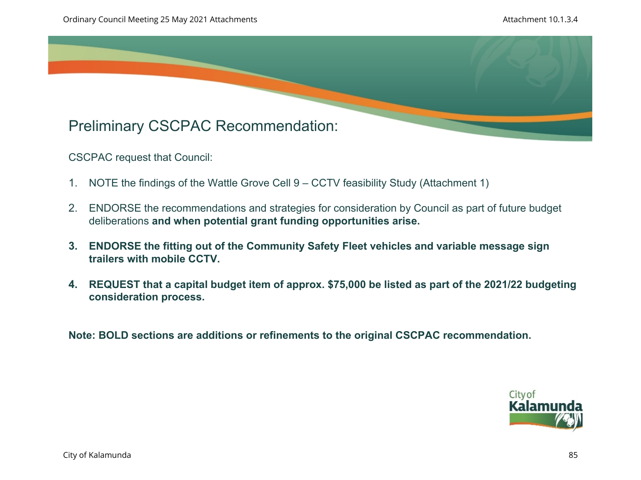

CSCPAC request that Council:

- 1. NOTE the findings of the Wattle Grove Cell 9 CCTV feasibility Study (Attachment 1)
- 2. ENDORSE the recommendations and strategies for consideration by Council as part of future budget deliberations **and when potential grant funding opportunities arise.**
- **3. ENDORSE the fitting out of the Community Safety Fleet vehicles and variable message sign trailers with mobile CCTV.**
- **4. REQUEST that a capital budget item of approx. \$75,000 be listed as part of the 2021/22 budgeting consideration process.**

**Note: BOLD sections are additions or refinements to the original CSCPAC recommendation.** 

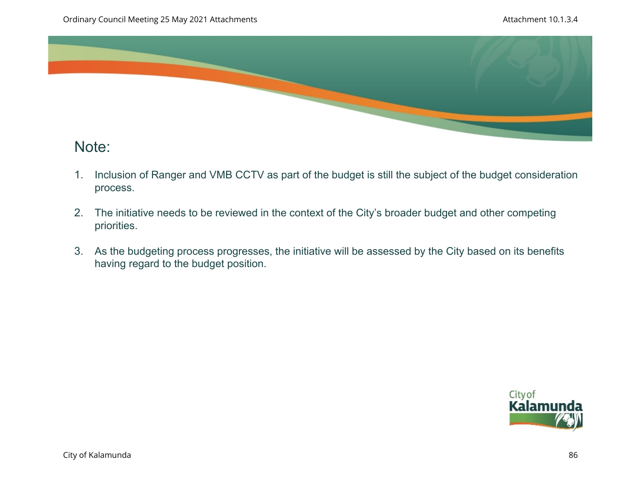

## Note:

- 1. Inclusion of Ranger and VMB CCTV as part of the budget is still the subject of the budget consideration process.
- 2. The initiative needs to be reviewed in the context of the City's broader budget and other competing priorities.
- 3. As the budgeting process progresses, the initiative will be assessed by the City based on its benefits having regard to the budget position.